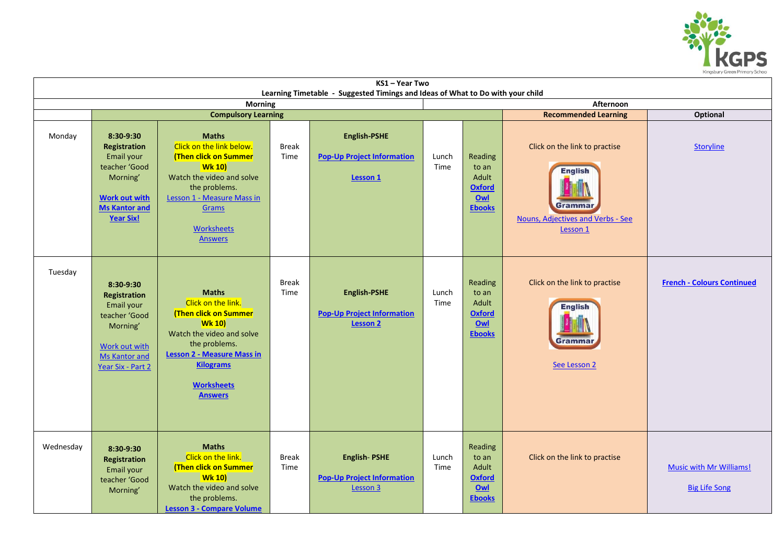

| KS1-Year Two                                                                                                  |                                                                                                                                           |                                                                                                                                                                                                                       |                      |                                                                      |               |                                                                    |                                                                                                             |                                                        |  |  |  |  |  |
|---------------------------------------------------------------------------------------------------------------|-------------------------------------------------------------------------------------------------------------------------------------------|-----------------------------------------------------------------------------------------------------------------------------------------------------------------------------------------------------------------------|----------------------|----------------------------------------------------------------------|---------------|--------------------------------------------------------------------|-------------------------------------------------------------------------------------------------------------|--------------------------------------------------------|--|--|--|--|--|
| Learning Timetable - Suggested Timings and Ideas of What to Do with your child<br>Afternoon<br><b>Morning</b> |                                                                                                                                           |                                                                                                                                                                                                                       |                      |                                                                      |               |                                                                    |                                                                                                             |                                                        |  |  |  |  |  |
|                                                                                                               | <b>Compulsory Learning</b>                                                                                                                |                                                                                                                                                                                                                       |                      |                                                                      |               |                                                                    | <b>Recommended Learning</b><br><b>Optional</b>                                                              |                                                        |  |  |  |  |  |
| Monday                                                                                                        | 8:30-9:30<br>Registration<br>Email your<br>teacher 'Good<br>Morning'<br><b>Work out with</b><br><b>Ms Kantor and</b><br><b>Year Six!</b>  | <b>Maths</b><br>Click on the link below.<br>(Then click on Summer<br><b>Wk 10)</b><br>Watch the video and solve<br>the problems.<br>Lesson 1 - Measure Mass in<br><b>Grams</b><br><b>Worksheets</b><br><b>Answers</b> | <b>Break</b><br>Time | English-PSHE<br><b>Pop-Up Project Information</b><br>Lesson 1        | Lunch<br>Time | Reading<br>to an<br>Adult<br><b>Oxford</b><br>Qw<br><b>Ebooks</b>  | Click on the link to practise<br><b>English</b><br>Grammar<br>Nouns, Adjectives and Verbs - See<br>Lesson 1 | Storyline                                              |  |  |  |  |  |
| Tuesday                                                                                                       | 8:30-9:30<br>Registration<br>Email your<br>teacher 'Good<br>Morning'<br><b>Work out with</b><br><b>Ms Kantor and</b><br>Year Six - Part 2 | <b>Maths</b><br>Click on the link.<br>(Then click on Summer<br><b>Wk 10)</b><br>Watch the video and solve<br>the problems.<br>Lesson 2 - Measure Mass in<br><b>Kilograms</b><br><b>Worksheets</b><br><b>Answers</b>   | <b>Break</b><br>Time | English-PSHE<br><b>Pop-Up Project Information</b><br><b>Lesson 2</b> | Lunch<br>Time | Reading<br>to an<br>Adult<br><b>Oxford</b><br>Qw1<br><b>Ebooks</b> | Click on the link to practise<br><b>English</b><br>Grammai<br>See Lesson 2                                  | <b>French - Colours Continued</b>                      |  |  |  |  |  |
| Wednesday                                                                                                     | 8:30-9:30<br>Registration<br>Email your<br>teacher 'Good<br>Morning'                                                                      | <b>Maths</b><br>Click on the link.<br>(Then click on Summer<br><b>Wk 10)</b><br>Watch the video and solve<br>the problems.<br><b>Lesson 3 - Compare Volume</b>                                                        | <b>Break</b><br>Time | <b>English-PSHE</b><br><b>Pop-Up Project Information</b><br>Lesson 3 | Lunch<br>Time | Reading<br>to an<br>Adult<br><b>Oxford</b><br>Qw1<br><b>Ebooks</b> | Click on the link to practise                                                                               | <b>Music with Mr Williams!</b><br><b>Big Life Song</b> |  |  |  |  |  |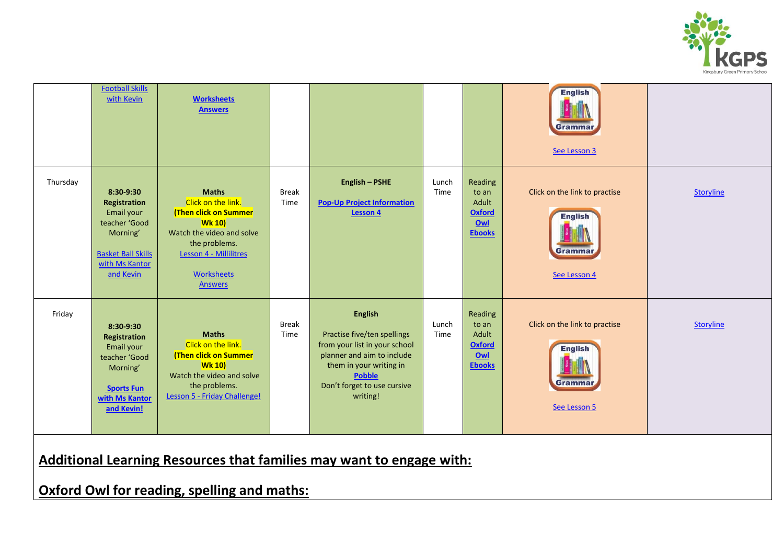

|          | <b>Football Skills</b><br>with Kevin                                                                                             | <b>Worksheets</b><br><b>Answers</b>                                                                                                                                                         |                      |                                                                                                                                                                                                     |               |                                                                    | <b>English</b><br>Gramma<br>See Lesson 3                                         |                  |
|----------|----------------------------------------------------------------------------------------------------------------------------------|---------------------------------------------------------------------------------------------------------------------------------------------------------------------------------------------|----------------------|-----------------------------------------------------------------------------------------------------------------------------------------------------------------------------------------------------|---------------|--------------------------------------------------------------------|----------------------------------------------------------------------------------|------------------|
| Thursday | 8:30-9:30<br>Registration<br>Email your<br>teacher 'Good<br>Morning'<br><b>Basket Ball Skills</b><br>with Ms Kantor<br>and Kevin | <b>Maths</b><br>Click on the link.<br>(Then click on Summer<br><b>Wk 10)</b><br>Watch the video and solve<br>the problems.<br>Lesson 4 - Millilitres<br><b>Worksheets</b><br><b>Answers</b> | <b>Break</b><br>Time | <b>English - PSHE</b><br><b>Pop-Up Project Information</b><br><b>Lesson 4</b>                                                                                                                       | Lunch<br>Time | Reading<br>to an<br>Adult<br><b>Oxford</b><br>0w1<br><b>Ebooks</b> | Click on the link to practise<br><b>English</b><br><b>Gramma</b><br>See Lesson 4 | <b>Storyline</b> |
| Friday   | 8:30-9:30<br>Registration<br>Email your<br>teacher 'Good<br>Morning'<br><b>Sports Fun</b><br>with Ms Kantor<br>and Kevin!        | <b>Maths</b><br>Click on the link.<br>(Then click on Summer<br><b>Wk 10)</b><br>Watch the video and solve<br>the problems.<br>Lesson 5 - Friday Challenge!                                  | <b>Break</b><br>Time | <b>English</b><br>Practise five/ten spellings<br>from your list in your school<br>planner and aim to include<br>them in your writing in<br><b>Pobble</b><br>Don't forget to use cursive<br>writing! | Lunch<br>Time | Reading<br>to an<br>Adult<br><b>Oxford</b><br>Owl<br><b>Ebooks</b> | Click on the link to practise<br><b>English</b><br><b>Gramma</b><br>See Lesson 5 | <b>Storyline</b> |

**Additional Learning Resources that families may want to engage with:**

**Oxford Owl for reading, spelling and maths:**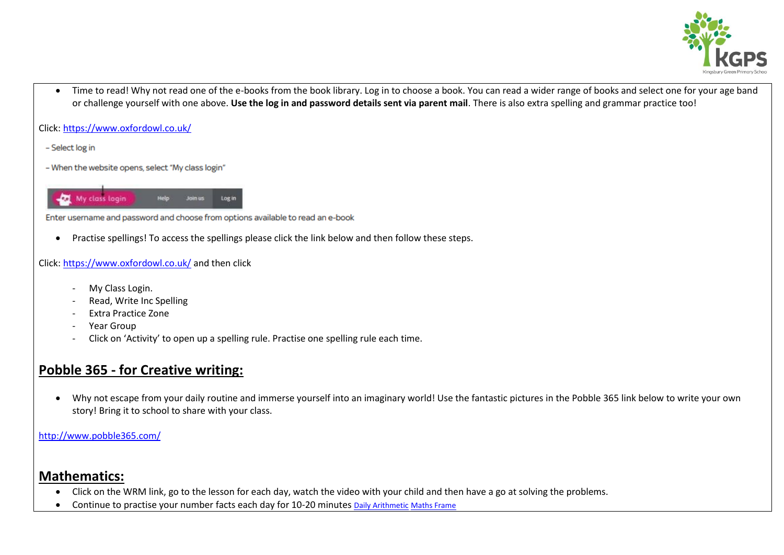

• Time to read! Why not read one of the e-books from the book library. Log in to choose a book. You can read a wider range of books and select one for your age band or challenge yourself with one above. **Use the log in and password details sent via parent mail**. There is also extra spelling and grammar practice too!

Click[: https://www.oxfordowl.co.uk/](https://www.oxfordowl.co.uk/)

- Select log in

- When the website opens, select "My class login"



Enter username and password and choose from options available to read an e-book

Practise spellings! To access the spellings please click the link below and then follow these steps.

#### Click[: https://www.oxfordowl.co.uk/](https://www.oxfordowl.co.uk/) and then click

- My Class Login.
- Read, Write Inc Spelling
- Extra Practice Zone
- Year Group
- Click on 'Activity' to open up a spelling rule. Practise one spelling rule each time.

## **Pobble 365 - for Creative writing:**

 Why not escape from your daily routine and immerse yourself into an imaginary world! Use the fantastic pictures in the Pobble 365 link below to write your own story! Bring it to school to share with your class.

<http://www.pobble365.com/>

## **Mathematics:**

- Click on the WRM link, go to the lesson for each day, watch the video with your child and then have a go at solving the problems.
- Continue to practise your number facts each day for 10-20 minutes [Daily Arithmetic](https://www.topmarks.co.uk/maths-games/daily10) [Maths Frame](https://mathsframe.co.uk/)